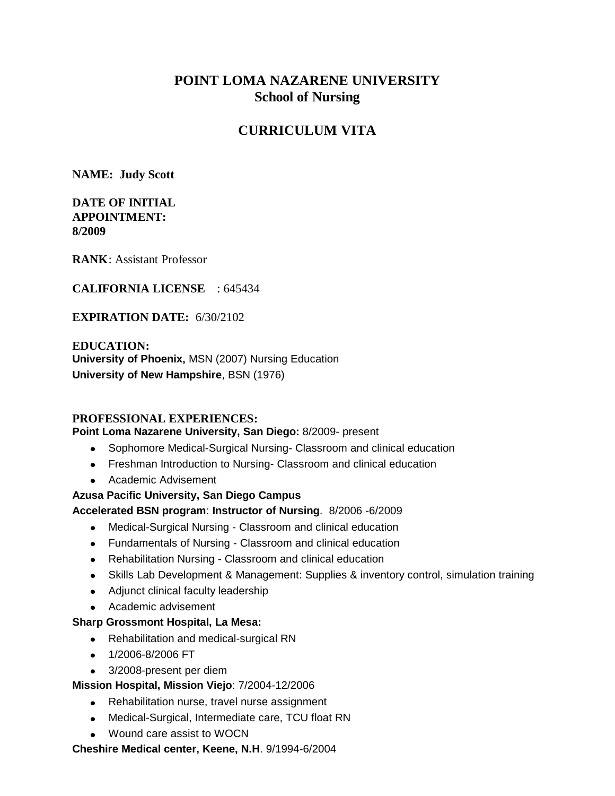# **POINT LOMA NAZARENE UNIVERSITY School of Nursing**

# **CURRICULUM VITA**

**NAME: Judy Scott**

### **DATE OF INITIAL APPOINTMENT: 8/2009**

**RANK**: Assistant Professor

**CALIFORNIA LICENSE** : 645434

**EXPIRATION DATE:** 6/30/2102

**EDUCATION: University of Phoenix,** MSN (2007) Nursing Education **University of New Hampshire**, BSN (1976)

#### **PROFESSIONAL EXPERIENCES:**

#### **Point Loma Nazarene University, San Diego:** 8/2009- present

- Sophomore Medical-Surgical Nursing- Classroom and clinical education
- Freshman Introduction to Nursing- Classroom and clinical education
- Academic Advisement

#### **Azusa Pacific University, San Diego Campus**

#### **Accelerated BSN program**: **Instructor of Nursing**. 8/2006 -6/2009

- $\bullet$ Medical-Surgical Nursing - Classroom and clinical education
- Fundamentals of Nursing Classroom and clinical education
- Rehabilitation Nursing Classroom and clinical education
- Skills Lab Development & Management: Supplies & inventory control, simulation training
- Adjunct clinical faculty leadership
- Academic advisement

#### **Sharp Grossmont Hospital, La Mesa:**

- Rehabilitation and medical-surgical RN
- 1/2006-8/2006 FT
- 3/2008-present per diem

**Mission Hospital, Mission Viejo**: 7/2004-12/2006

- Rehabilitation nurse, travel nurse assignment
- Medical-Surgical, Intermediate care, TCU float RN
- Wound care assist to WOCN

**Cheshire Medical center, Keene, N.H**. 9/1994-6/2004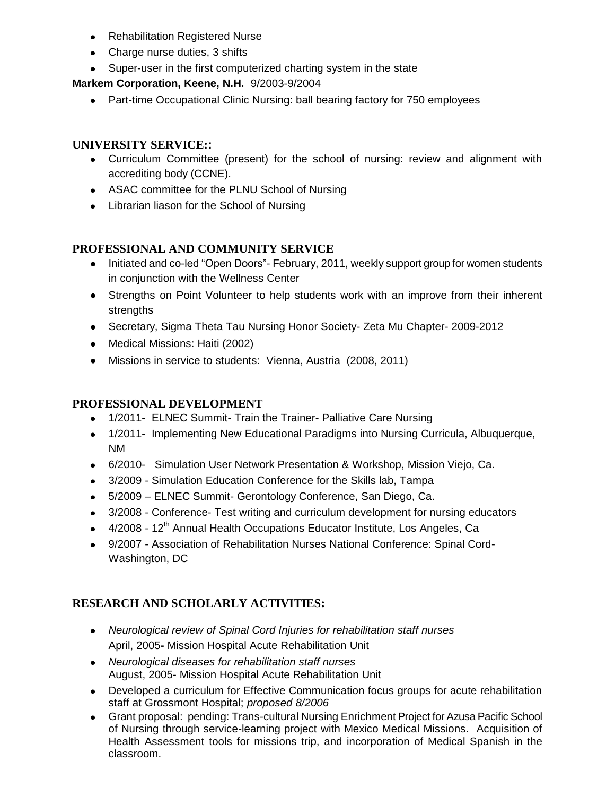- Rehabilitation Registered Nurse
- Charge nurse duties, 3 shifts
- Super-user in the first computerized charting system in the state

**Markem Corporation, Keene, N.H.** 9/2003-9/2004

• Part-time Occupational Clinic Nursing: ball bearing factory for 750 employees

### **UNIVERSITY SERVICE::**

- Curriculum Committee (present) for the school of nursing: review and alignment with accrediting body (CCNE).
- ASAC committee for the PLNU School of Nursing
- Librarian liason for the School of Nursing

## **PROFESSIONAL AND COMMUNITY SERVICE**

- Initiated and co-led "Open Doors"- February, 2011, weekly support group for women students in conjunction with the Wellness Center
- Strengths on Point Volunteer to help students work with an improve from their inherent strengths
- Secretary, Sigma Theta Tau Nursing Honor Society- Zeta Mu Chapter- 2009-2012
- Medical Missions: Haiti (2002)
- Missions in service to students: Vienna, Austria (2008, 2011)

### **PROFESSIONAL DEVELOPMENT**

- 1/2011- ELNEC Summit- Train the Trainer- Palliative Care Nursing
- 1/2011- Implementing New Educational Paradigms into Nursing Curricula, Albuquerque,  $\bullet$ NM
- 6/2010- Simulation User Network Presentation & Workshop, Mission Viejo, Ca.  $\bullet$
- 3/2009 Simulation Education Conference for the Skills lab, Tampa  $\bullet$
- 5/2009 ELNEC Summit- Gerontology Conference, San Diego, Ca.  $\bullet$
- 3/2008 Conference- Test writing and curriculum development for nursing educators  $\bullet$
- 4/2008 12<sup>th</sup> Annual Health Occupations Educator Institute, Los Angeles, Ca
- 9/2007 Association of Rehabilitation Nurses National Conference: Spinal Cord-Washington, DC

## **RESEARCH AND SCHOLARLY ACTIVITIES:**

- *Neurological review of Spinal Cord Injuries for rehabilitation staff nurses* April, 2005**-** Mission Hospital Acute Rehabilitation Unit
- *Neurological diseases for rehabilitation staff nurses*  August, 2005- Mission Hospital Acute Rehabilitation Unit
- Developed a curriculum for Effective Communication focus groups for acute rehabilitation staff at Grossmont Hospital; *proposed 8/2006*
- Grant proposal: pending: Trans-cultural Nursing Enrichment Project for Azusa Pacific School  $\bullet$ of Nursing through service-learning project with Mexico Medical Missions. Acquisition of Health Assessment tools for missions trip, and incorporation of Medical Spanish in the classroom.